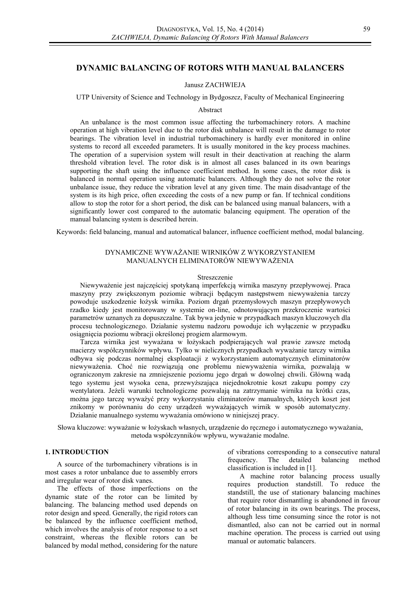# **DYNAMIC BALANCING OF ROTORS WITH MANUAL BALANCERS**

#### Janusz ZACHWIEJA

UTP University of Science and Technology in Bydgoszcz, Faculty of Mechanical Engineering

### Abstract

An unbalance is the most common issue affecting the turbomachinery rotors. A machine operation at high vibration level due to the rotor disk unbalance will result in the damage to rotor bearings. The vibration level in industrial turbomachinery is hardly ever monitored in online systems to record all exceeded parameters. It is usually monitored in the key process machines. The operation of a supervision system will result in their deactivation at reaching the alarm threshold vibration level. The rotor disk is in almost all cases balanced in its own bearings supporting the shaft using the influence coefficient method. In some cases, the rotor disk is balanced in normal operation using automatic balancers. Although they do not solve the rotor unbalance issue, they reduce the vibration level at any given time. The main disadvantage of the system is its high price, often exceeding the costs of a new pump or fan. If technical conditions allow to stop the rotor for a short period, the disk can be balanced using manual balancers, with a significantly lower cost compared to the automatic balancing equipment. The operation of the manual balancing system is described herein.

Keywords: field balancing, manual and automatical balancer, influence coefficient method, modal balancing.

## DYNAMICZNE WYWAŻANIE WIRNIKÓW Z WYKORZYSTANIEM MANUALNYCH ELIMINATORÓW NIEWYWAŻENIA

### Streszczenie

Niewyważenie jest najczęściej spotykaną imperfekcją wirnika maszyny przepływowej. Praca maszyny przy zwiększonym poziomie wibracji będącym następstwem niewyważenia tarczy powoduje uszkodzenie łożysk wirnika. Poziom drgań przemysłowych maszyn przepływowych rzadko kiedy jest monitorowany w systemie on-line, odnotowującym przekroczenie wartości parametrów uznanych za dopuszczalne. Tak bywa jedynie w przypadkach maszyn kluczowych dla procesu technologicznego. Działanie systemu nadzoru powoduje ich wyłączenie w przypadku osiągnięcia poziomu wibracji określonej progiem alarmowym.

Tarcza wirnika jest wyważana w łożyskach podpierających wał prawie zawsze metodą macierzy współczynników wpływu. Tylko w nielicznych przypadkach wyważanie tarczy wirnika odbywa się podczas normalnej eksploatacji z wykorzystaniem automatycznych eliminatorów niewyważenia. Choć nie rozwiązują one problemu niewyważenia wirnika, pozwalają w ograniczonym zakresie na zmniejszenie poziomu jego drgań w dowolnej chwili. Główną wadą tego systemu jest wysoka cena, przewyższająca niejednokrotnie koszt zakupu pompy czy wentylatora. Jeżeli warunki technologiczne pozwalają na zatrzymanie wirnika na krótki czas, można jego tarczę wyważyć przy wykorzystaniu eliminatorów manualnych, których koszt jest znikomy w porównaniu do ceny urządzeń wyważających wirnik w sposób automatyczny. Działanie manualnego systemu wyważania omówiono w niniejszej pracy.

Słowa kluczowe: wyważanie w łożyskach własnych, urządzenie do ręcznego i automatycznego wyważania, metoda współczynników wpływu, wyważanie modalne.

# **1. INTRODUCTION**

A source of the turbomachinery vibrations is in most cases a rotor unbalance due to assembly errors and irregular wear of rotor disk vanes.

The effects of those imperfections on the dynamic state of the rotor can be limited by balancing. The balancing method used depends on rotor design and speed. Generally, the rigid rotors can be balanced by the influence coefficient method, which involves the analysis of rotor response to a set constraint, whereas the flexible rotors can be balanced by modal method, considering for the nature

of vibrations corresponding to a consecutive natural frequency. The detailed balancing method classification is included in [1].

A machine rotor balancing process usually requires production standstill. To reduce the standstill, the use of stationary balancing machines that require rotor dismantling is abandoned in favour of rotor balancing in its own bearings. The process, although less time consuming since the rotor is not dismantled, also can not be carried out in normal machine operation. The process is carried out using manual or automatic balancers.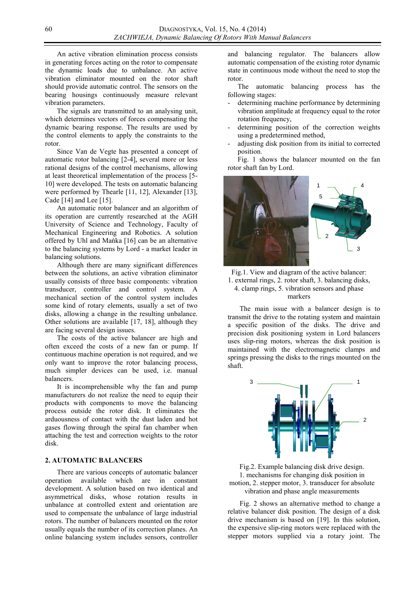An active vibration elimination process consists in generating forces acting on the rotor to compensate the dynamic loads due to unbalance. An active vibration eliminator mounted on the rotor shaft should provide automatic control. The sensors on the bearing housings continuously measure relevant vibration parameters.

The signals are transmitted to an analysing unit, which determines vectors of forces compensating the dynamic bearing response. The results are used by the control elements to apply the constraints to the rotor.

Since Van de Vegte has presented a concept of automatic rotor balancing [2-4], several more or less rational designs of the control mechanisms, allowing at least theoretical implementation of the process [5- 10] were developed. The tests on automatic balancing were performed by Thearle [11, 12], Alexander [13], Cade [14] and Lee [15].

An automatic rotor balancer and an algorithm of its operation are currently researched at the AGH University of Science and Technology, Faculty of Mechanical Engineering and Robotics. A solution offered by Uhl and Mańka [16] can be an alternative to the balancing systems by Lord - a market leader in balancing solutions.

Although there are many significant differences between the solutions, an active vibration eliminator usually consists of three basic components: vibration transducer, controller and control system. A mechanical section of the control system includes some kind of rotary elements, usually a set of two disks, allowing a change in the resulting unbalance. Other solutions are available [17, 18], although they are facing several design issues.

The costs of the active balancer are high and often exceed the costs of a new fan or pump. If continuous machine operation is not required, and we only want to improve the rotor balancing process, much simpler devices can be used, i.e. manual **balancers** 

It is incomprehensible why the fan and pump manufacturers do not realize the need to equip their products with components to move the balancing process outside the rotor disk. It eliminates the arduousness of contact with the dust laden and hot gases flowing through the spiral fan chamber when attaching the test and correction weights to the rotor disk.

## **2. AUTOMATIC BALANCERS**

There are various concepts of automatic balancer operation available which are in constant development. A solution based on two identical and asymmetrical disks, whose rotation results in unbalance at controlled extent and orientation are used to compensate the unbalance of large industrial rotors. The number of balancers mounted on the rotor usually equals the number of its correction planes. An online balancing system includes sensors, controller

and balancing regulator. The balancers allow automatic compensation of the existing rotor dynamic state in continuous mode without the need to stop the rotor.

The automatic balancing process has the following stages:

- determining machine performance by determining vibration amplitude at frequency equal to the rotor rotation frequency,
- determining position of the correction weights using a predetermined method,
- adjusting disk position from its initial to corrected position.

Fig. 1 shows the balancer mounted on the fan rotor shaft fan by Lord.



Fig.1. View and diagram of the active balancer: 1. external rings, 2. rotor shaft, 3. balancing disks, 4. clamp rings, 5. vibration sensors and phase markers

The main issue with a balancer design is to transmit the drive to the rotating system and maintain a specific position of the disks. The drive and precision disk positioning system in Lord balancers uses slip-ring motors, whereas the disk position is maintained with the electromagnetic clamps and springs pressing the disks to the rings mounted on the shaft.



Fig.2. Example balancing disk drive design. 1. mechanisms for changing disk position in motion, 2. stepper motor, 3. transducer for absolute vibration and phase angle measurements

Fig. 2 shows an alternative method to change a relative balancer disk position. The design of a disk drive mechanism is based on [19]. In this solution, the expensive slip-ring motors were replaced with the stepper motors supplied via a rotary joint. The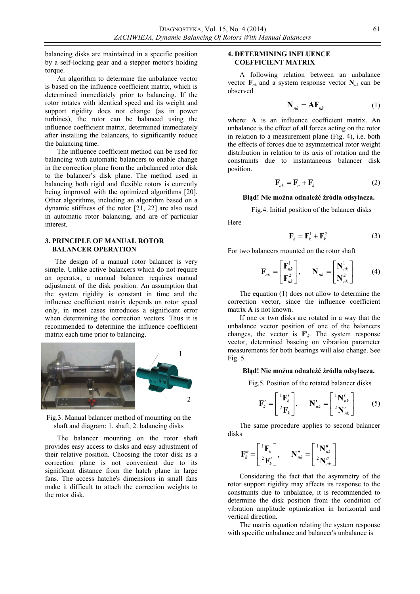balancing disks are maintained in a specific position by a self-locking gear and a stepper motor's holding torque.

An algorithm to determine the unbalance vector is based on the influence coefficient matrix, which is determined immediately prior to balancing. If the rotor rotates with identical speed and its weight and support rigidity does not change (as in power turbines), the rotor can be balanced using the influence coefficient matrix, determined immediately after installing the balancers, to significantly reduce the balancing time.

The influence coefficient method can be used for balancing with automatic balancers to enable change in the correction plane from the unbalanced rotor disk to the balancer's disk plane. The method used in balancing both rigid and flexible rotors is currently being improved with the optimized algorithms [20]. Other algorithms, including an algorithm based on a dynamic stiffness of the rotor [21, 22] are also used in automatic rotor balancing, and are of particular interest.

### **3. PRINCIPLE OF MANUAL ROTOR BALANCER OPERATION**

The design of a manual rotor balancer is very simple. Unlike active balancers which do not require an operator, a manual balancer requires manual adjustment of the disk position. An assumption that the system rigidity is constant in time and the influence coefficient matrix depends on rotor speed only, in most cases introduces a significant error when determining the correction vectors. Thus it is recommended to determine the influence coefficient matrix each time prior to balancing.



Fig.3. Manual balancer method of mounting on the shaft and diagram: 1. shaft, 2. balancing disks

The balancer mounting on the rotor shaft provides easy access to disks and easy adjustment of their relative position. Choosing the rotor disk as a correction plane is not convenient due to its significant distance from the hatch plane in large fans. The access hatche's dimensions in small fans make it difficult to attach the correction weights to the rotor disk.

### **4. DETERMINING INFLUENCE COEFFICIENT MATRIX**

A following relation between an unbalance vector  $\mathbf{F}_{nk}$  and a system response vector  $\mathbf{N}_{nk}$  can be observed

$$
\mathbf{N}_{nk} = \mathbf{A}\mathbf{F}_{nk} \tag{1}
$$

where: A is an influence coefficient matrix. An unbalance is the effect of all forces acting on the rotor in relation to a measurement plane (Fig. 4), i.e. both the effects of forces due to asymmetrical rotor weight distribution in relation to its axis of rotation and the constraints due to instantaneous balancer disk position.

$$
\mathbf{F}_{nk} = \mathbf{F}_n + \mathbf{F}_k \tag{2}
$$

### **Błąd! Nie można odnaleźć źródła odsyłacza.**

Fig.4. Initial position of the balancer disks

Here

$$
\mathbf{F}_k = \mathbf{F}_k^1 + \mathbf{F}_k^2 \tag{3}
$$

For two balancers mounted on the rotor shaft

$$
\mathbf{F}_{nk} = \begin{bmatrix} \mathbf{F}_{nk}^1 \\ \mathbf{F}_{nk}^2 \end{bmatrix}, \quad \mathbf{N}_{nk} = \begin{bmatrix} \mathbf{N}_{nk}^1 \\ \mathbf{N}_{nk}^2 \end{bmatrix}
$$
 (4)

The equation (1) does not allow to determine the correction vector, since the influence coefficient matrix **A** is not known.

If one or two disks are rotated in a way that the unbalance vector position of one of the balancers changes, the vector is  $\mathbf{F}'_k$ . The system response vector, determined baseing on vibration parameter measurements for both bearings will also change. See Fig. 5.

#### **Błąd! Nie można odnaleźć źródła odsyłacza.**

Fig.5. Position of the rotated balancer disks

$$
\mathbf{F}'_k = \begin{bmatrix} {}^1\mathbf{F}'_k \\ {}^2\mathbf{F}_k \end{bmatrix}, \qquad \mathbf{N}'_{nk} = \begin{bmatrix} {}^1\mathbf{N}'_{nk} \\ {}^2\mathbf{N}'_{nk} \end{bmatrix} \tag{5}
$$

The same procedure applies to second balancer disks

$$
\mathbf{F}_{k}'' = \begin{bmatrix} {}^{1}\mathbf{F}_{k} \\ {}^{2}\mathbf{F}_{k}' \end{bmatrix}, \qquad \mathbf{N}_{nk}'' = \begin{bmatrix} {}^{1}\mathbf{N}_{nk}'' \\ {}^{2}\mathbf{N}_{nk}'' \end{bmatrix}
$$

Considering the fact that the asymmetry of the rotor support rigidity may affects its response to the constraints due to unbalance, it is recommended to determine the disk position from the condition of vibration amplitude optimization in horizontal and vertical direction.

The matrix equation relating the system response with specific unbalance and balancer's unbalance is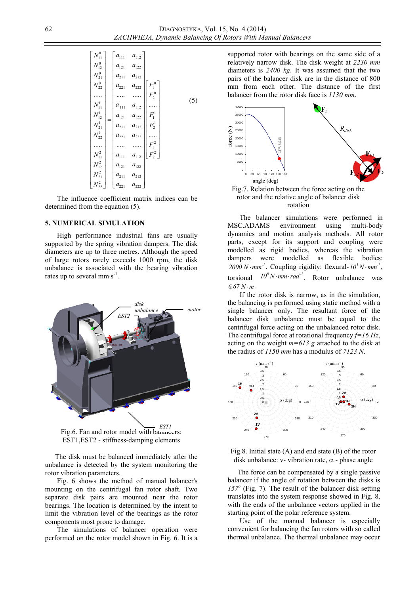| $N_{11}^0$ | $a_{111}$                    | $a_{112}$              |         |     |
|------------|------------------------------|------------------------|---------|-----|
| $N_{12}^0$ | $a_{121}$                    | $a_{122}$              |         |     |
| $N_{21}^0$ | $a_{211}$                    | $a_{212}$              |         |     |
| $N_{22}^0$ | $a_{221}$                    | $a_{222}$              |         |     |
|            |                              |                        | $F_2^0$ |     |
| $N^1_{11}$ | $a_{\scriptscriptstyle 111}$ | $a_{112}$              |         | (5) |
| $N^1_{12}$ | $a_{121}$                    | $a_{122}$              | $F_1^1$ |     |
| $N^1_{21}$ | $a_{211}$                    | $a_{212}$              | $F_2^1$ |     |
| $N^1_{22}$ | $a_{221}$                    | $\boldsymbol{a}_{222}$ |         |     |
|            |                              |                        | $F_1^2$ |     |
| $N_{11}^2$ | $a_{111}$                    | $a_{112}$              | $F_2^2$ |     |
| $N_{12}^2$ | $a_{121}$                    | $a_{122}$              |         |     |
| $N_{21}^2$ | $a_{211}$                    | $a_{212}$              |         |     |
| $N^2_{22}$ | $a_{221}$                    | $a_{222}$              |         |     |

The influence coefficient matrix indices can be determined from the equation (5).

#### **5. NUMERICAL SIMULATION**

High performance industrial fans are usually supported by the spring vibration dampers. The disk diameters are up to three metres. Although the speed of large rotors rarely exceeds 1000 rpm, the disk unbalance is associated with the bearing vibration rates up to several  $mm·s^{-1}$ .



Fig.6. Fan and rotor model with balancers: EST1,EST2 - stiffness-damping elements

The disk must be balanced immediately after the unbalance is detected by the system monitoring the rotor vibration parameters.

Fig. 6 shows the method of manual balancer's mounting on the centrifugal fan rotor shaft. Two separate disk pairs are mounted near the rotor bearings. The location is determined by the intent to limit the vibration level of the bearings as the rotor components most prone to damage.

The simulations of balancer operation were performed on the rotor model shown in Fig. 6. It is a

supported rotor with bearings on the same side of a relatively narrow disk. The disk weight at *2230 mm* diameters is *2400 kg*. It was assumed that the two pairs of the balancer disk are in the distance of 800 mm from each other. The distance of the first balancer from the rotor disk face is *1130 mm*.



Fig.7. Relation between the force acting on the rotor and the relative angle of balancer disk rotation

The balancer simulations were performed in MSC.ADAMS environment using multi-body dynamics and motion analysis methods. All rotor parts, except for its support and coupling were modelled as rigid bodies, whereas the vibration dampers were modelled as flexible bodies:  $2000 N \cdot mm^{-1}$ . Coupling rigidity: flexural- $10^{5} N \cdot mm^{-1}$ , torsional  $10^8 N \cdot mm \cdot rad^{-1}$ . Rotor unbalance was  $6.67 N·m$ .

If the rotor disk is narrow, as in the simulation, the balancing is performed using static method with a single balancer only. The resultant force of the balancer disk unbalance must be equal to the centrifugal force acting on the unbalanced rotor disk. The centrifugal force at rotational frequency *f=16 Hz*, acting on the weight *m=613 g* attached to the disk at the radius of *1150 mm* has a modulus of *7123 N*.



Fig.8. Initial state (A) and end state (B) of the rotor disk unbalance: v- vibration rate,  $\alpha$  - phase angle

The force can be compensated by a single passive balancer if the angle of rotation between the disks is *157<sup>o</sup>* (Fig. 7). The result of the balancer disk setting translates into the system response showed in Fig. 8, with the ends of the unbalance vectors applied in the starting point of the polar reference system.

Use of the manual balancer is especially convenient for balancing the fan rotors with so called thermal unbalance. The thermal unbalance may occur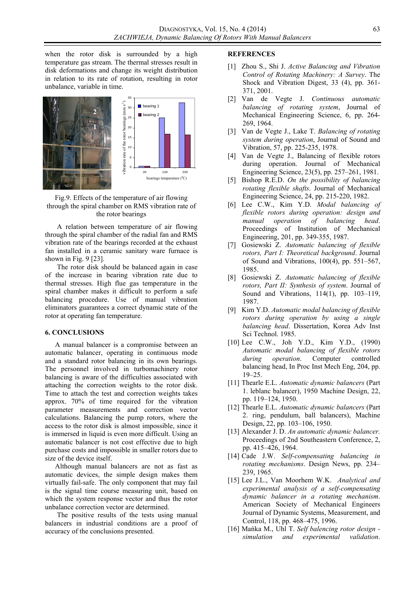when the rotor disk is surrounded by a high temperature gas stream. The thermal stresses result in disk deformations and change its weight distribution in relation to its rate of rotation, resulting in rotor unbalance, variable in time.



Fig.9. Effects of the temperature of air flowing through the spiral chamber on RMS vibration rate of the rotor bearings

A relation between temperature of air flowing through the spiral chamber of the radial fan and RMS vibration rate of the bearings recorded at the exhaust fan installed in a ceramic sanitary ware furnace is shown in Fig. 9 [23].

The rotor disk should be balanced again in case of the increase in bearing vibration rate due to thermal stresses. High flue gas temperature in the spiral chamber makes it difficult to perform a safe balancing procedure. Use of manual vibration eliminators guarantees a correct dynamic state of the rotor at operating fan temperature.

#### **6. CONCLUSIONS**

A manual balancer is a compromise between an automatic balancer, operating in continuous mode and a standard rotor balancing in its own bearings. The personnel involved in turbomachinery rotor balancing is aware of the difficulties associated with attaching the correction weights to the rotor disk. Time to attach the test and correction weights takes approx. 70% of time required for the vibration parameter measurements and correction vector calculations. Balancing the pump rotors, where the access to the rotor disk is almost impossible, since it is immersed in liquid is even more difficult. Using an automatic balancer is not cost effective due to high purchase costs and impossible in smaller rotors due to size of the device itself.

Although manual balancers are not as fast as automatic devices, the simple design makes them virtually fail-safe. The only component that may fail is the signal time course measuring unit, based on which the system response vector and thus the rotor unbalance correction vector are determined.

The positive results of the tests using manual balancers in industrial conditions are a proof of accuracy of the conclusions presented.

#### **REFERENCES**

- [1] Zhou S., Shi J. *Active Balancing and Vibration Control of Rotating Machinery: A Survey*. The Shock and Vibration Digest, 33 (4), pp. 361- 371, 2001.
- [2] Van de Vegte J. *Continuous automatic balancing of rotating system*, Journal of Mechanical Engineering Science, 6, pp. 264- 269, 1964.
- [3] Van de Vegte J., Lake T. *Balancing of rotating system during operation*, Journal of Sound and Vibration, 57, pp. 225-235, 1978.
- [4] Van de Vegte J., Balancing of flexible rotors during operation. Journal of Mechanical Engineering Science, 23(5), pp. 257–261, 1981.
- [5] Bishop R.E.D. *On the possibility of balancing rotating flexible shafts*. Journal of Mechanical Engineering Science, 24, pp. 215-220, 1982.
- [6] Lee C.W., Kim Y.D. *Modal balancing of flexible rotors during operation: design and manual operation of balancing head*. Proceedings of Institution of Mechanical Engineering, 201, pp. 349-355, 1987.
- [7] Gosiewski Z. *Automatic balancing of flexible rotors, Part I: Theoretical background*. Journal of Sound and Vibrations, 100(4), pp. 551–567, 1985.
- [8] Gosiewski Z. *Automatic balancing of flexible rotors, Part II: Synthesis of system*. Journal of Sound and Vibrations, 114(1), pp. 103–119, 1987.
- [9] Kim Y.D. *Automatic modal balancing of flexible rotors during operation by using a single balancing head*. Dissertation, Korea Adv Inst Sci Technol. 1985.
- [10] Lee C.W., Joh Y.D., Kim Y.D., (1990) *Automatic modal balancing of flexible rotors during operation*. Computer controlled balancing head, In Proc Inst Mech Eng, 204, pp. 19–25.
- [11] Thearle E.L. *Automatic dynamic balancers* (Part 1. leblanc balancer), 1950 Machine Design, 22, pp. 119–124, 1950.
- [12] Thearle E.L. *Automatic dynamic balancers* (Part 2. ring, pendulum, ball balancers), Machine Design, 22, pp. 103–106, 1950.
- [13] Alexander J. D. *An automatic dynamic balancer.* Proceedings of 2nd Southeastern Conference, 2, pp. 415–426, 1964.
- [14] Cade J.W. *Self-compensating balancing in rotating mechanisms*. Design News, pp. 234– 239, 1965.
- [15] Lee J.L., Van Moorhem W.K. *Analytical and experimental analysis of a self-compensating dynamic balancer in a rotating mechanism*. American Society of Mechanical Engineers Journal of Dynamic Systems, Measurement, and Control, 118, pp. 468–475, 1996.
- [16] Mańka M., Uhl T. *Self balencing rotor design simulation and experimental validation*.